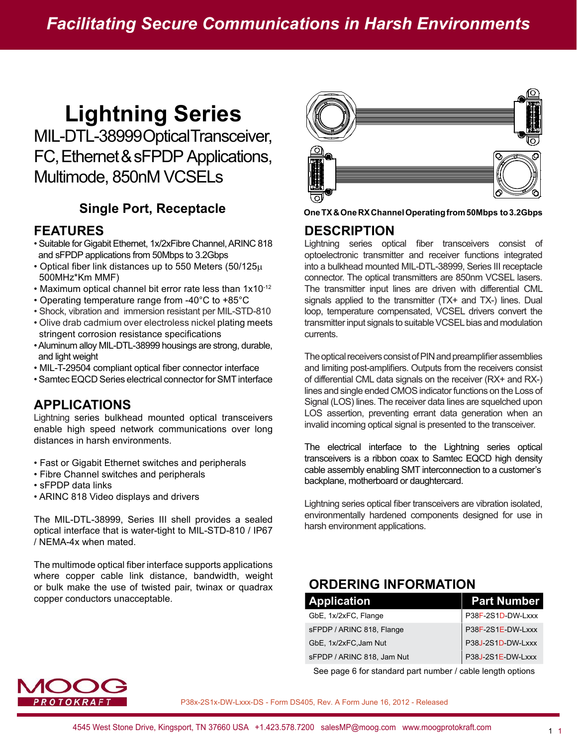# **Lightning Series**

MIL-DTL-38999 Optical Transceiver, FC, Ethernet & sFPDP Applications, Multimode, 850nM VCSELs

#### **FEATURES**

- Suitable for Gigabit Ethernet, 1x/2xFibre Channel, ARINC 818 and sFPDP applications from 50Mbps to 3.2Gbps
- Optical fiber link distances up to 550 Meters (50/125 $\mu$ ) 500MHz\*Km MMF)
- Maximum optical channel bit error rate less than 1x10-12
- Operating temperature range from -40°C to +85°C
- Shock, vibration and immersion resistant per MIL-STD-810
- Olive drab cadmium over electroless nickel plating meets stringent corrosion resistance specifications
- Aluminum alloy MIL-DTL-38999 housings are strong, durable, and light weight
- MIL-T-29504 compliant optical fiber connector interface
- Samtec EQCD Series electrical connector for SMT interface

#### **APPLICATIONS**

Lightning series bulkhead mounted optical transceivers enable high speed network communications over long distances in harsh environments.

- Fast or Gigabit Ethernet switches and peripherals
- Fibre Channel switches and peripherals
- sFPDP data links
- ARINC 818 Video displays and drivers

The MIL-DTL-38999, Series III shell provides a sealed optical interface that is water-tight to MIL-STD-810 / IP67 / NEMA-4x when mated.

The multimode optical fiber interface supports applications where copper cable link distance, bandwidth, weight or bulk make the use of twisted pair, twinax or quadrax copper conductors unacceptable.



**Single Port, Receptacle One TX & One RX Channel Operating from 50Mbps to 3.2Gbps** 

#### **DESCRIPTION**

Lightning series optical fiber transceivers consist of optoelectronic transmitter and receiver functions integrated into a bulkhead mounted MIL-DTL-38999, Series III receptacle connector. The optical transmitters are 850nm VCSEL lasers. The transmitter input lines are driven with differential CML signals applied to the transmitter (TX+ and TX-) lines. Dual loop, temperature compensated, VCSEL drivers convert the transmitter input signals to suitable VCSEL bias and modulation currents.

The optical receivers consist of PIN and preamplifier assemblies and limiting post-amplifiers. Outputs from the receivers consist of differential CML data signals on the receiver (RX+ and RX-) lines and single ended CMOS indicator functions on the Loss of Signal (LOS) lines. The receiver data lines are squelched upon LOS assertion, preventing errant data generation when an invalid incoming optical signal is presented to the transceiver.

The electrical interface to the Lightning series optical transceivers is a ribbon coax to Samtec EQCD high density cable assembly enabling SMT interconnection to a customer's backplane, motherboard or daughtercard.

Lightning series optical fiber transceivers are vibration isolated, environmentally hardened components designed for use in harsh environment applications.

#### **ORDERING INFORMATION**

| <b>Application</b>         | <b>Part Number</b> |
|----------------------------|--------------------|
| GbE, 1x/2xFC, Flange       | P38F-2S1D-DW-Lxxx  |
| sFPDP / ARINC 818, Flange  | P38F-2S1E-DW-Lxxx  |
| GbE, 1x/2xFC, Jam Nut      | P38J-2S1D-DW-Lxxx  |
| sFPDP / ARINC 818, Jam Nut | P38J-2S1E-DW-Lxxx  |
|                            |                    |

See page 6 for standard part number / cable length options

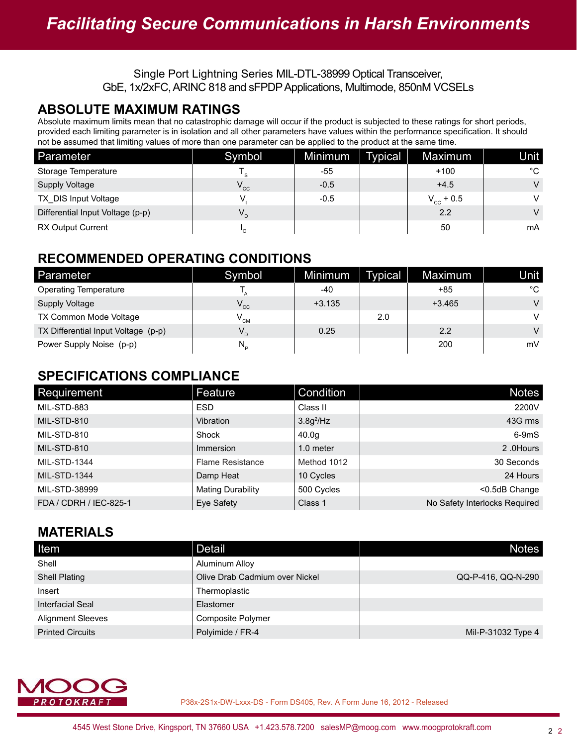#### **ABSOLUTE MAXIMUM RATINGS**

Absolute maximum limits mean that no catastrophic damage will occur if the product is subjected to these ratings for short periods, provided each limiting parameter is in isolation and all other parameters have values within the performance specification. It should not be assumed that limiting values of more than one parameter can be applied to the product at the same time.

| Parameter                        | Symbol   | Minimum | Typical | Maximum        | Unit   |
|----------------------------------|----------|---------|---------|----------------|--------|
| Storage Temperature              | ' s      | -55     |         | $+100$         | °C     |
| <b>Supply Voltage</b>            | $V_{cc}$ | $-0.5$  |         | $+4.5$         | $\vee$ |
| TX DIS Input Voltage             |          | $-0.5$  |         | $V_{cc}$ + 0.5 | $\vee$ |
| Differential Input Voltage (p-p) | $V_{D}$  |         |         | 2.2            | $\vee$ |
| <b>RX Output Current</b>         |          |         |         | 50             | mA     |

#### **RECOMMENDED OPERATING CONDITIONS**

| Parameter                           | Symbol                         | Minimum  | Typical | Maximum  | Unit   |
|-------------------------------------|--------------------------------|----------|---------|----------|--------|
| <b>Operating Temperature</b>        |                                | $-40$    |         | +85      | °C     |
| Supply Voltage                      | $V_{\rm cc}$                   | $+3.135$ |         | $+3.465$ | $\vee$ |
| TX Common Mode Voltage              | $V^{\text{CM}}$                |          | 2.0     |          | V      |
| TX Differential Input Voltage (p-p) | $V_{D}$                        | 0.25     |         | 2.2      | $\vee$ |
| Power Supply Noise (p-p)            | $N_{\scriptscriptstyle\alpha}$ |          |         | 200      | mV     |

#### **SPECIFICATIONS COMPLIANCE**

| Requirement            | Feature                 | Condition    | <b>Notes</b>                  |
|------------------------|-------------------------|--------------|-------------------------------|
| MIL-STD-883            | <b>ESD</b>              | Class II     | 2200V                         |
| MIL-STD-810            | Vibration               | $3.8g^2$ /Hz | 43G rms                       |
| MIL-STD-810            | Shock                   | 40.0q        | $6-9mS$                       |
| MIL-STD-810            | Immersion               | 1.0 meter    | 2.0Hours                      |
| <b>MIL-STD-1344</b>    | <b>Flame Resistance</b> | Method 1012  | 30 Seconds                    |
| <b>MIL-STD-1344</b>    | Damp Heat               | 10 Cycles    | 24 Hours                      |
| MIL-STD-38999          | Mating Durability       | 500 Cycles   | <0.5dB Change                 |
| FDA / CDRH / IEC-825-1 | Eye Safety              | Class 1      | No Safety Interlocks Required |

### **MATERIALS**

| Item                     | <b>Detail</b>                  | <b>Notes</b>       |
|--------------------------|--------------------------------|--------------------|
| Shell                    | Aluminum Alloy                 |                    |
| <b>Shell Plating</b>     | Olive Drab Cadmium over Nickel | QQ-P-416, QQ-N-290 |
| Insert                   | Thermoplastic                  |                    |
| Interfacial Seal         | Elastomer                      |                    |
| <b>Alignment Sleeves</b> | Composite Polymer              |                    |
| <b>Printed Circuits</b>  | Polyimide / FR-4               | Mil-P-31032 Type 4 |

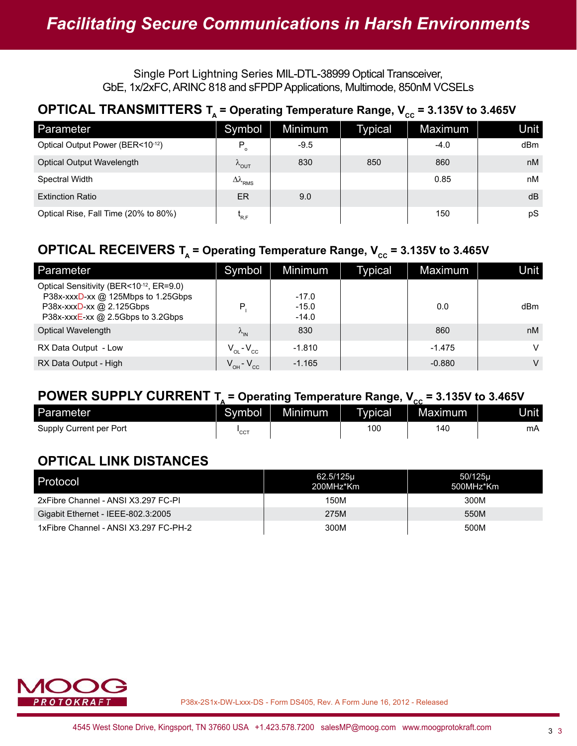#### **OPTICAL TRANSMITTERS**  $T_A$  **= Operating Temperature Range,**  $V_{cc}$  **= 3.135V to 3.465V**

| Parameter                            | Symbol                         | Minimum | <b>Typical</b> | Maximum | Unit |
|--------------------------------------|--------------------------------|---------|----------------|---------|------|
| Optical Output Power (BER<10-12)     | $P_{o}$                        | $-9.5$  |                | $-4.0$  | dBm  |
| Optical Output Wavelength            | $\kappa_{\text{OUT}}$          | 830     | 850            | 860     | nM   |
| Spectral Width                       | $\Delta\lambda$ <sub>RMS</sub> |         |                | 0.85    | nM   |
| <b>Extinction Ratio</b>              | ER                             | 9.0     |                |         | dB   |
| Optical Rise, Fall Time (20% to 80%) | R.F                            |         |                | 150     | pS   |

#### **OPTICAL RECEIVERS T<sub>A</sub> = Operating Temperature Range,**  $V_{cc}$  **= 3.135V to 3.465V**

| Parameter                                                                                                                                      | Symbol                | Minimum                       | Typical | Maximum  | Unit |
|------------------------------------------------------------------------------------------------------------------------------------------------|-----------------------|-------------------------------|---------|----------|------|
| Optical Sensitivity (BER<10-12, ER=9.0)<br>P38x-xxxD-xx @ 125Mbps to 1.25Gbps<br>P38x-xxxD-xx @ 2.125Gbps<br>P38x-xxxE-xx @ 2.5Gbps to 3.2Gbps | P.                    | $-17.0$<br>$-15.0$<br>$-14.0$ |         | 0.0      | dBm  |
| Optical Wavelength                                                                                                                             | $\lambda_{\text{IN}}$ | 830                           |         | 860      | nM   |
| RX Data Output - Low                                                                                                                           | $V_{OL} - V_{CC}$     | $-1.810$                      |         | $-1.475$ | V    |
| RX Data Output - High                                                                                                                          | $V_{OH} - V_{CC}$     | $-1.165$                      |         | $-0.880$ | V    |

#### **POWER SUPPLY CURRENT**  $T_a$  **= Operating Temperature Range,**  $V_{cc}$  **= 3.135V to 3.465V**

| Parameter               | Symbol | Minimum | Typical | . .<br>Maximum | Unitl |
|-------------------------|--------|---------|---------|----------------|-------|
| Supply Current per Port | 'cc    |         | 100     | 14C            | mA    |

### **OPTICAL LINK DISTANCES**

| Protocol                              | 62.5/125u<br>200MHz*Km | 50/125µ<br>500MHz*Km |
|---------------------------------------|------------------------|----------------------|
| 2xFibre Channel - ANSI X3.297 FC-PI   | 150M                   | 300M                 |
| Gigabit Ethernet - IEEE-802.3:2005    | 275M                   | 550M                 |
| 1xFibre Channel - ANSI X3.297 FC-PH-2 | 300M                   | 500M                 |

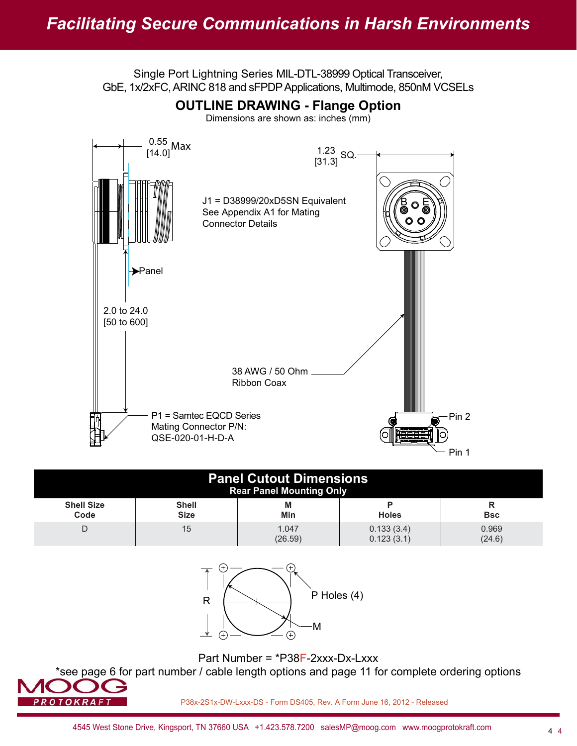

| <b>Panel Cutout Dimensions</b><br><b>Rear Panel Mounting Only</b> |                             |                  |                          |                 |
|-------------------------------------------------------------------|-----------------------------|------------------|--------------------------|-----------------|
| <b>Shell Size</b><br>Code                                         | <b>Shell</b><br><b>Size</b> | М<br>Min         | o<br><b>Holes</b>        | <b>Bsc</b>      |
|                                                                   | 15                          | 1.047<br>(26.59) | 0.133(3.4)<br>0.123(3.1) | 0.969<br>(24.6) |



Part Number = \*P38F-2xxx-Dx-Lxxx

\*see page 6 for part number / cable length options and page 11 for complete ordering options

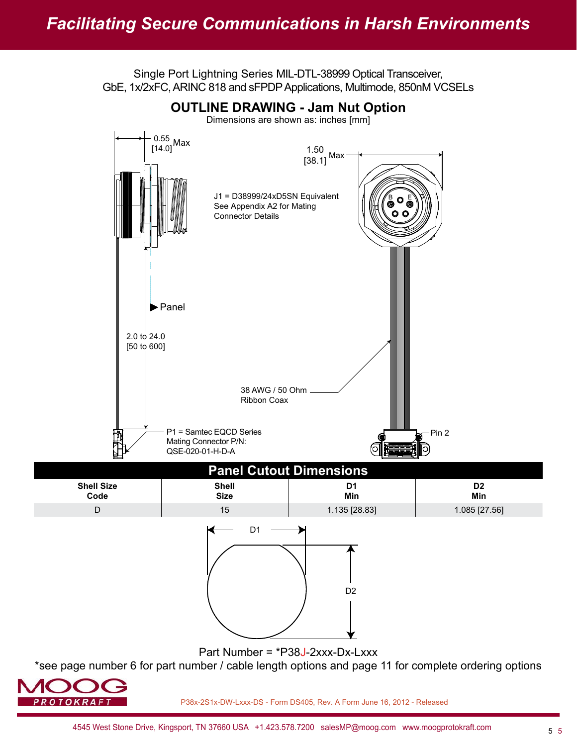Single Port Lightning Series MIL-DTL-38999 Optical Transceiver,



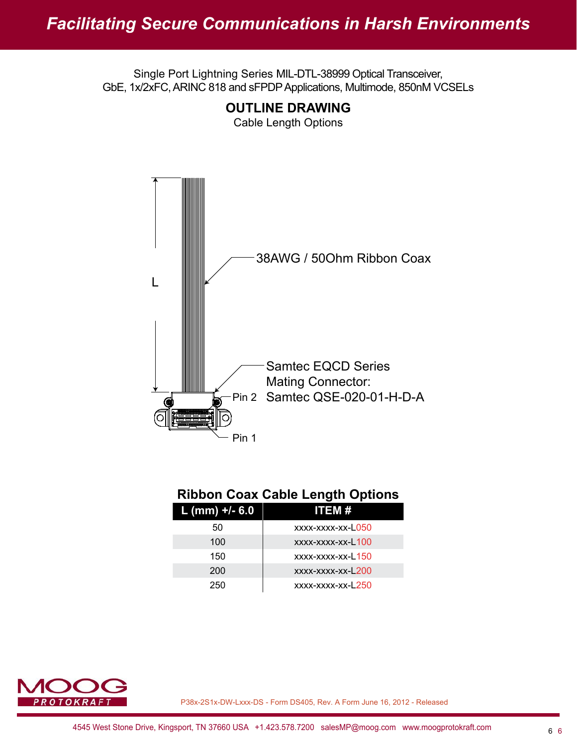

**OUTLINE DRAWING** Cable Length Options

### **Ribbon Coax Cable Length Options**

| $L$ (mm) +/- 6.0 | ITEM #            |
|------------------|-------------------|
| 50               | xxxx-xxxx-xx-L050 |
| 100              | xxxx-xxxx-xx-L100 |
| 150              | xxxx-xxxx-xx-L150 |
| 200              | xxxx-xxxx-xx-L200 |
| 250              | xxxx-xxxx-xx-L250 |

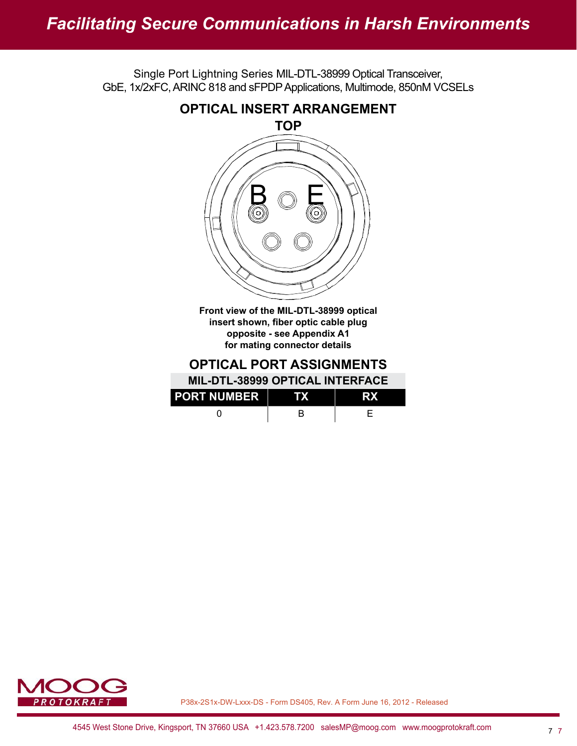# *Facilitating Secure Communications in Harsh Environments*

Single Port Lightning Series MIL-DTL-38999 Optical Transceiver, GbE, 1x/2xFC, ARINC 818 and sFPDP Applications, Multimode, 850nM VCSELs



insert shown, fiber optic cable plug **opposite - see Appendix A1 for mating connector details**

**OPTICAL PORT ASSIGNMENTS**

| <b>PORT NUMBER</b> |  |
|--------------------|--|
|                    |  |

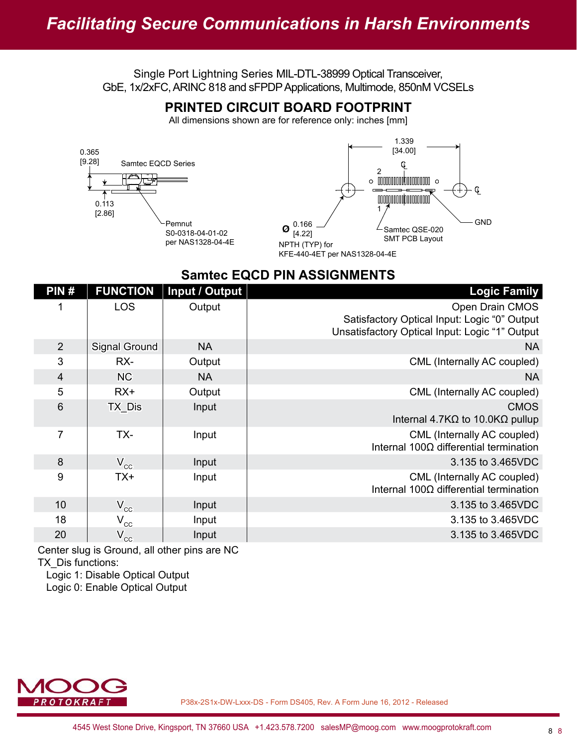#### **PRINTED CIRCUIT BOARD FOOTPRINT**

All dimensions shown are for reference only: inches [mm]



#### **Samtec EQCD PIN ASSIGNMENTS**

| PIN#            | <b>FUNCTION</b>            | Input / Output | <b>Logic Family</b>                                                                                               |
|-----------------|----------------------------|----------------|-------------------------------------------------------------------------------------------------------------------|
|                 | <b>LOS</b>                 | Output         | Open Drain CMOS<br>Satisfactory Optical Input: Logic "0" Output<br>Unsatisfactory Optical Input: Logic "1" Output |
| 2               | <b>Signal Ground</b>       | <b>NA</b>      | <b>NA</b>                                                                                                         |
| 3               | RX-                        | Output         | CML (Internally AC coupled)                                                                                       |
| $\overline{4}$  | <b>NC</b>                  | <b>NA</b>      | <b>NA</b>                                                                                                         |
| 5               | RX+                        | Output         | CML (Internally AC coupled)                                                                                       |
| $6\phantom{1}6$ | TX_Dis                     | Input          | <b>CMOS</b><br>Internal 4.7K $\Omega$ to 10.0K $\Omega$ pullup                                                    |
| 7               | TX-                        | Input          | CML (Internally AC coupled)<br>Internal $100\Omega$ differential termination                                      |
| 8               | $V_{cc}$                   | Input          | 3.135 to 3.465VDC                                                                                                 |
| 9               | TX+                        | Input          | CML (Internally AC coupled)<br>Internal $100\Omega$ differential termination                                      |
| 10              | $V_{\rm cc}$               | Input          | 3.135 to 3.465VDC                                                                                                 |
| 18              | $V_{\rm cc}$               | Input          | 3.135 to 3.465VDC                                                                                                 |
| 20              | $\mathsf{V}_{\mathrm{cc}}$ | Input          | 3.135 to 3.465VDC                                                                                                 |

Center slug is Ground, all other pins are NC TX\_Dis functions:

Logic 1: Disable Optical Output

Logic 0: Enable Optical Output

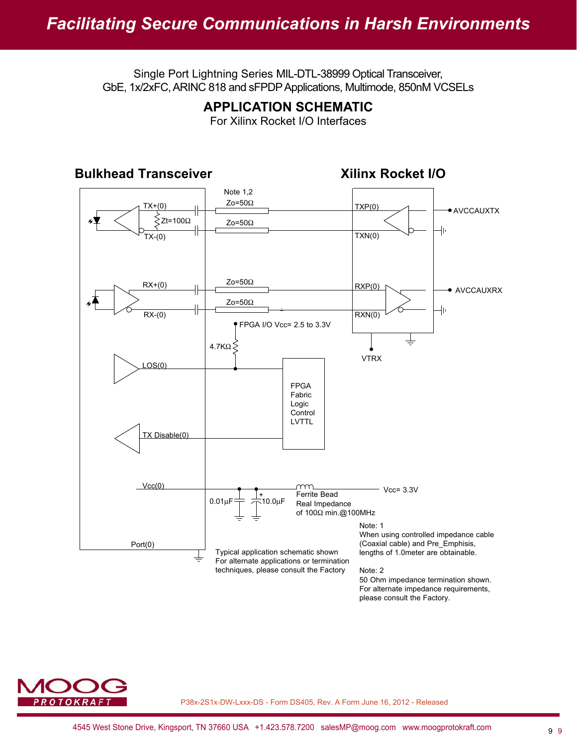#### **APPLICATION SCHEMATIC**

For Xilinx Rocket I/O Interfaces



For alternate impedance requirements, please consult the Factory.

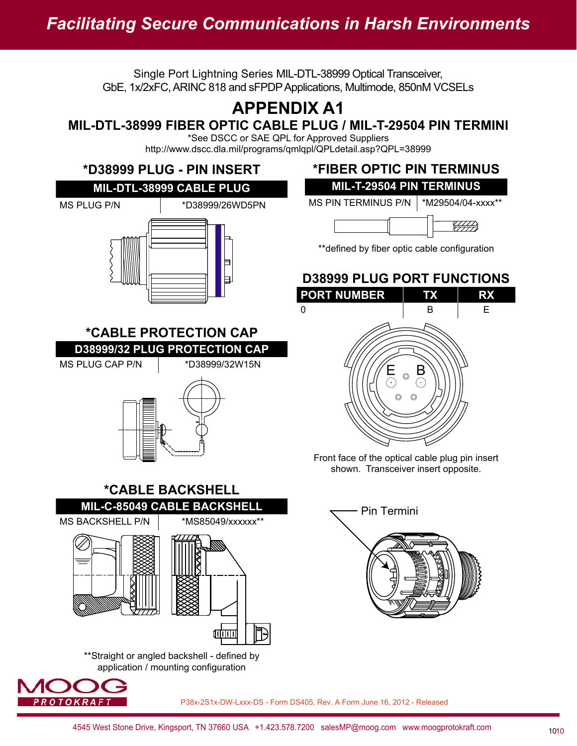# **APPENDIX A1**

## **MIL-DTL-38999 FIBER OPTIC CABLE PLUG / MIL-T-29504 PIN TERMINI**

\*See DSCC or SAE QPL for Approved Suppliers http://www.dscc.dla.mil/programs/qmlqpl/QPLdetail.asp?QPL=38999